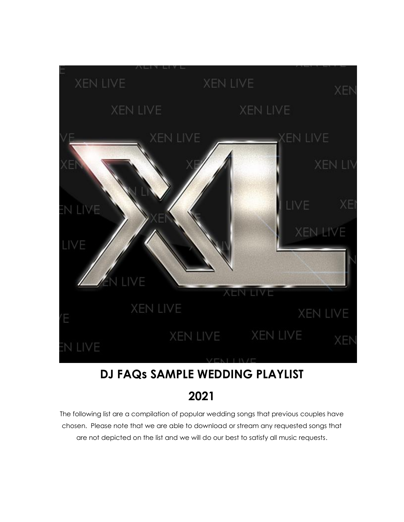

# **DJ FAQs SAMPLE WEDDING PLAYLIST**

**2021**

The following list are a compilation of popular wedding songs that previous couples have chosen. Please note that we are able to download or stream any requested songs that are not depicted on the list and we will do our best to satisfy all music requests.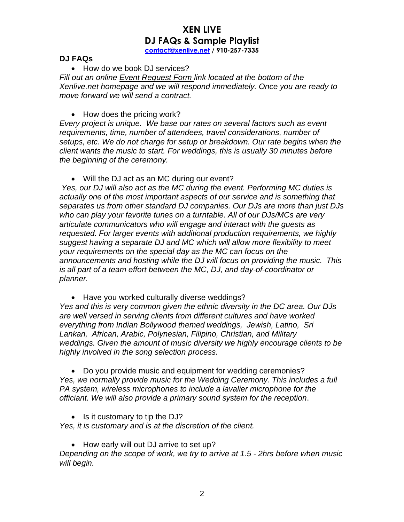#### **DJ FAQs**

• How do we book DJ services?

*Fill out an online Event [Request](https://www.xenlive.net/contact) Form link located at the bottom of the Xenlive.net homepage and we will respond immediately. Once you are ready to move forward we will send a contract.*

• How does the pricing work?

*Every project is unique. We base our rates on several factors such as event requirements, time, number of attendees, travel considerations, number of setups, etc. We do not charge for setup or breakdown. Our rate begins when the client wants the music to start. For weddings, this is usually 30 minutes before the beginning of the ceremony.*

• Will the DJ act as an MC during our event?

*Yes, our DJ will also act as the MC during the event. Performing MC duties is actually one of the most important aspects of our service and is something that separates us from other standard DJ companies. Our DJs are more than just DJs who can play your favorite tunes on a turntable. All of our DJs/MCs are very articulate communicators who will engage and interact with the guests as requested. For larger events with additional production requirements, we highly suggest having a separate DJ and MC which will allow more flexibility to meet your requirements on the special day as the MC can focus on the announcements and hosting while the DJ will focus on providing the music. This is all part of a team effort between the MC, DJ, and day-of-coordinator or planner.*

• Have you worked culturally diverse weddings?

*Yes and this is very common given the ethnic diversity in the DC area. Our DJs are well versed in serving clients from different cultures and have worked everything from Indian Bollywood themed weddings, Jewish, Latino, Sri Lankan, African, Arabic, Polynesian, Filipino, Christian, and Military weddings. Given the amount of music diversity we highly encourage clients to be highly involved in the song selection process.*

• Do you provide music and equipment for wedding ceremonies? *Yes, we normally provide music for the Wedding Ceremony. This includes a full PA system, wireless microphones to include a lavalier microphone for the officiant. We will also provide a primary sound system for the reception*.

• Is it customary to tip the DJ?

*Yes, it is customary and is at the discretion of the client.*

• How early will out DJ arrive to set up?

*Depending on the scope of work, we try to arrive at 1.5 - 2hrs before when music will begin.*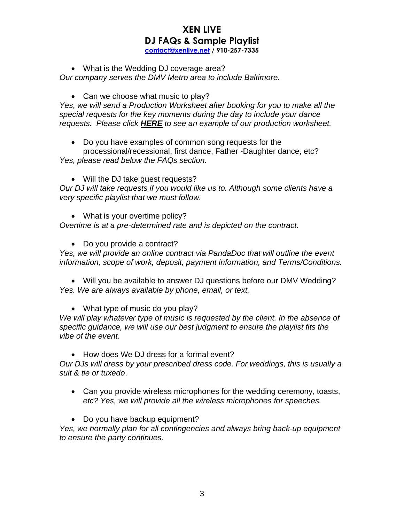• What is the Wedding DJ coverage area?

*Our company serves the DMV Metro area to include Baltimore.*

• Can we choose what music to play?

*Yes, we will send a Production Worksheet after booking for you to make all the special requests for the key moments during the day to include your dance requests. Please click [HERE](https://22d6ca21-72af-48c6-a767-9d27c01a6faf.filesusr.com/ugd/2b9b9e_d7cb70e1c64d4e83844a9f4cb1531815.pdf) to see an example of our production worksheet.*

• Do you have examples of common song requests for the

processional/recessional, first dance, Father -Daughter dance, etc? *Yes, please read below the FAQs section.*

• Will the DJ take quest requests?

*Our DJ will take requests if you would like us to. Although some clients have a very specific playlist that we must follow.*

• What is your overtime policy?

*Overtime is at a pre-determined rate and is depicted on the contract.*

• Do you provide a contract?

*Yes, we will provide an online contract via PandaDoc that will outline the event information, scope of work, deposit, payment information, and Terms/Conditions.*

• Will you be available to answer DJ questions before our DMV Wedding? *Yes. We are always available by phone, email, or text.*

• What type of music do you play?

*We will play whatever type of music is requested by the client. In the absence of specific guidance, we will use our best judgment to ensure the playlist fits the vibe of the event.*

• How does We DJ dress for a formal event?

*Our DJs will dress by your prescribed dress code. For weddings, this is usually a suit & tie or tuxedo*.

- Can you provide wireless microphones for the wedding ceremony, toasts, *etc? Yes, we will provide all the wireless microphones for speeches.*
- Do you have backup equipment?

*Yes, we normally plan for all contingencies and always bring back-up equipment to ensure the party continues.*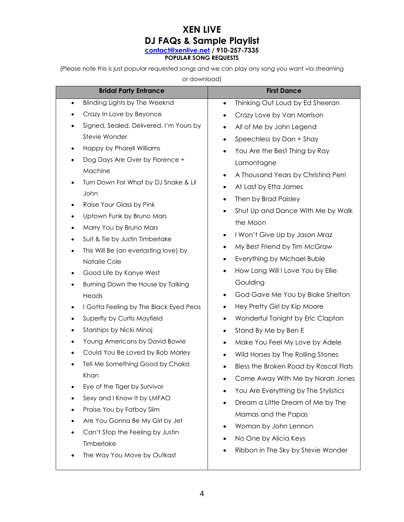#### **XEN LIVE DJ FAQs & Sample Playlist [contact@xenlive.net](mailto:contact@xenlive.net) / 910-257-7335 POPULAR SONG REQUESTS**

(Please note this is just popular requested songs and we can play any song you want via streaming

or download)

| <b>Bridal Party Entrance</b>                            | <b>First Dance</b>                                |
|---------------------------------------------------------|---------------------------------------------------|
| Blinding Lights by The Weeknd<br>$\bullet$              | Thinking Out Loud by Ed Sheeran<br>$\bullet$      |
| Crazy In Love by Beyonce<br>$\bullet$                   | Crazy Love by Van Morrison                        |
| Signed, Sealed, Delivered, I'm Yours by<br>$\bullet$    | All of Me by John Legend<br>$\bullet$             |
| Stevie Wonder                                           | Speechless by Dan + Shay                          |
| Happy by Pharell Williams<br>$\bullet$                  | You Are the Best Thing by Ray                     |
| Dog Days Are Over by Florence +<br>٠                    | Lamontagne                                        |
| Machine                                                 | A Thousand Years by Christina Perri<br>$\bullet$  |
| Turn Down For What by DJ Snake & Lil                    | At Last by Etta James<br>$\bullet$                |
| John                                                    | Then by Brad Paisley<br>$\bullet$                 |
| Raise Your Glass by Pink<br>$\bullet$                   | Shut Up and Dance With Me by Walk<br>$\bullet$    |
| Uptown Funk by Bruno Mars<br>$\bullet$                  | the Moon                                          |
| Marry You by Bruno Mars<br>$\bullet$                    | I Won't Give Up by Jason Mraz<br>$\bullet$        |
| Suit & Tie by Justin Timberlake                         | My Best Friend by Tim McGraw<br>$\bullet$         |
| This Will Be (an everlasting love) by<br>٠              | Everything by Michael Buble                       |
| Natalie Cole                                            | How Long Will I Love You by Ellie<br>$\bullet$    |
| Good Life by Kanye West<br>$\bullet$                    | Goulding                                          |
| Burning Down the House by Talking<br>$\bullet$<br>Heads | God Gave Me You by Blake Shelton<br>٠             |
| I Gotta Feeling by The Black Eyed Peas<br>٠             | Hey Pretty Girl by Kip Moore<br>$\bullet$         |
| Superfly by Curtis Mayfield<br>٠                        | Wonderful Tonight by Eric Clapton<br>$\bullet$    |
| Starships by Nicki Minaj<br>$\bullet$                   | Stand By Me by Ben E<br>$\bullet$                 |
| Young Americans by David Bowie<br>٠                     | Make You Feel My Love by Adele<br>$\bullet$       |
| Could You Be Loved by Bob Marley                        | Wild Horses by The Rolling Stones                 |
| Tell Me Something Good by Chaka                         |                                                   |
| Khan                                                    | Bless the Broken Road by Rascal Flats             |
| Eye of the Tiger by Survivor<br>٠                       | Come Away With Me by Norah Jones                  |
| Sexy and I Know It by LMFAO                             | You Are Everything by The Stylistics<br>$\bullet$ |
| Praise You by Fatboy Slim                               | Dream a Little Dream of Me by The                 |
| Are You Gonna Be My Girl by Jet                         | Mamas and the Papas                               |
| Can't Stop the Feeling by Justin                        | Woman by John Lennon                              |
| Timberlake                                              | No One by Alicia Keys<br>٠                        |
| The Way You Move by Outkast                             | Ribbon in The Sky by Stevie Wonder                |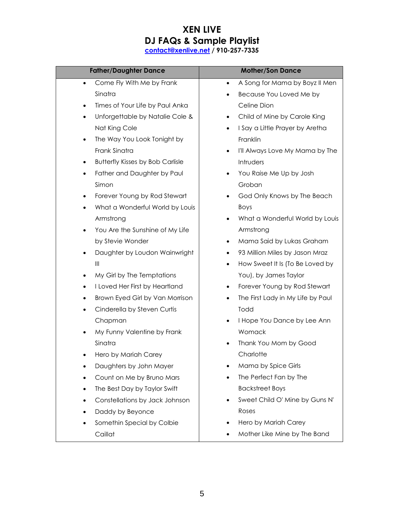| <b>Father/Daughter Dance</b>                         | <b>Mother/Son Dance</b>                        |
|------------------------------------------------------|------------------------------------------------|
| Come Fly With Me by Frank<br>$\bullet$               | A Song for Mama by Boyz II Men<br>$\bullet$    |
| Sinatra                                              | Because You Loved Me by<br>٠                   |
| Times of Your Life by Paul Anka<br>$\bullet$         | Celine Dion                                    |
| Unforgettable by Natalie Cole &<br>$\bullet$         | Child of Mine by Carole King<br>٠              |
| Nat King Cole                                        | I Say a Little Prayer by Aretha<br>$\bullet$   |
| The Way You Look Tonight by<br>$\bullet$             | Franklin                                       |
| Frank Sinatra                                        | I'll Always Love My Mama by The<br>$\bullet$   |
| <b>Butterfly Kisses by Bob Carlisle</b><br>$\bullet$ | Intruders                                      |
| Father and Daughter by Paul<br>$\bullet$             | You Raise Me Up by Josh<br>$\bullet$           |
| Simon                                                | Groban                                         |
| Forever Young by Rod Stewart<br>$\bullet$            | God Only Knows by The Beach<br>$\bullet$       |
| What a Wonderful World by Louis<br>$\bullet$         | Boys                                           |
| Armstrong                                            | What a Wonderful World by Louis<br>٠           |
| You Are the Sunshine of My Life<br>$\bullet$         | Armstrong                                      |
| by Stevie Wonder                                     | Mama Said by Lukas Graham<br>٠                 |
| Daughter by Loudon Wainwright<br>$\bullet$           | 93 Million Miles by Jason Mraz<br>$\bullet$    |
| $\mathbb{H}$                                         | How Sweet It Is (To Be Loved by<br>٠           |
| My Girl by The Temptations<br>$\bullet$              | You), by James Taylor                          |
| I Loved Her First by Heartland<br>$\bullet$          | Forever Young by Rod Stewart<br>٠              |
| Brown Eyed Girl by Van Morrison<br>$\bullet$         | The First Lady in My Life by Paul<br>$\bullet$ |
| Cinderella by Steven Curtis<br>$\bullet$             | Todd                                           |
| Chapman                                              | I Hope You Dance by Lee Ann<br>$\bullet$       |
| My Funny Valentine by Frank<br>$\bullet$             | Womack                                         |
| Sinatra                                              | Thank You Mom by Good                          |
| Hero by Mariah Carey                                 | Charlotte                                      |
| Daughters by John Mayer<br>٠                         | Mama by Spice Girls                            |
| Count on Me by Bruno Mars                            | The Perfect Fan by The                         |
| The Best Day by Taylor Swift<br>$\bullet$            | <b>Backstreet Boys</b>                         |
| Constellations by Jack Johnson                       | Sweet Child O' Mine by Guns N'                 |
| Daddy by Beyonce<br>$\bullet$                        | Roses                                          |
| Somethin Special by Colbie<br>$\bullet$              | Hero by Mariah Carey<br>٠                      |
| Caillat                                              | Mother Like Mine by The Band                   |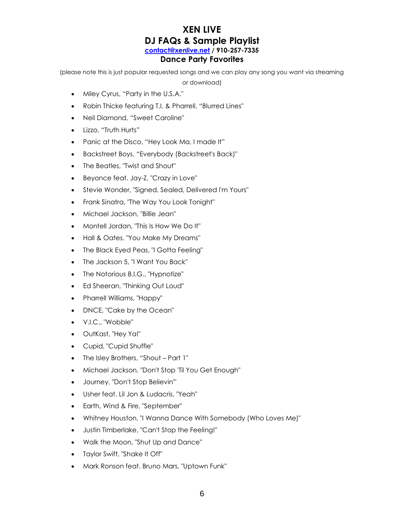#### **XEN LIVE DJ FAQs & Sample Playlist [contact@xenlive.net](mailto:contact@xenlive.net) / 910-257-7335 Dance Party Favorites**

(please note this is just popular requested songs and we can play any song you want via streaming

or download)

- Miley Cyrus, "Party in the U.S.A."
- Robin Thicke featuring T.I. & Pharrell, "Blurred Lines"
- Neil Diamond, "Sweet Caroline"
- Lizzo, "Truth Hurts"
- Panic at the Disco, "Hey Look Ma, I made It"
- Backstreet Boys, "Everybody (Backstreet's Back)"
- The Beatles, "Twist and Shout"
- Beyonce feat. Jay-Z, "Crazy in Love"
- Stevie Wonder, "Signed, Sealed, Delivered I'm Yours"
- Frank Sinatra, "The Way You Look Tonight"
- Michael Jackson, "Billie Jean"
- Montell Jordan, "This Is How We Do It"
- Hall & Oates, "You Make My Dreams"
- The Black Eyed Peas, "I Gotta Feeling"
- The Jackson 5, "I Want You Back"
- The Notorious B.I.G., "Hypnotize"
- Ed Sheeran, "Thinking Out Loud"
- Pharrell Williams, "Happy"
- DNCE, "Cake by the Ocean"
- V.I.C., "Wobble"
- OutKast, "Hey Ya!"
- Cupid, "Cupid Shuffle"
- The Isley Brothers, "Shout Part 1"
- Michael Jackson, "Don't Stop 'Til You Get Enough"
- Journey, "Don't Stop Believin'"
- Usher feat. Lil Jon & Ludacris, "Yeah"
- Earth, Wind & Fire, "September"
- Whitney Houston, "I Wanna Dance With Somebody (Who Loves Me)"
- Justin Timberlake, "Can't Stop the Feeling!"
- Walk the Moon, "Shut Up and Dance"
- Taylor Swift, "Shake It Off"
- Mark Ronson feat. Bruno Mars, "Uptown Funk"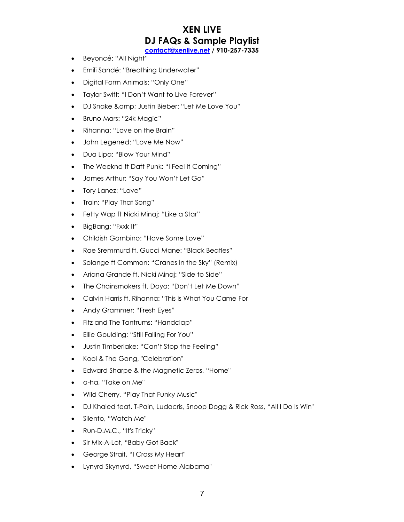- Beyoncé: "All Night"
- Emili Sandé: "Breathing Underwater"
- Digital Farm Animals: "Only One"
- Taylor Swift: "I Don't Want to Live Forever"
- DJ Snake & amp; Justin Bieber: "Let Me Love You"
- Bruno Mars: "24k Magic"
- Rihanna: "Love on the Brain"
- John Legened: "Love Me Now"
- Dua Lipa: "Blow Your Mind"
- The Weeknd ft Daft Punk: "I Feel It Coming"
- James Arthur: "Say You Won't Let Go"
- Tory Lanez: "Love"
- Train: "Play That Song"
- Fetty Wap ft Nicki Minaj: "Like a Star"
- BigBang: "Fxxk It"
- Childish Gambino: "Have Some Love"
- Rae Sremmurd ft. Gucci Mane: "Black Beatles"
- Solange ft Common: "Cranes in the Sky" (Remix)
- Ariana Grande ft. Nicki Minaj: "Side to Side"
- The Chainsmokers ft. Daya: "Don't Let Me Down"
- Calvin Harris ft. Rihanna: "This is What You Came For
- Andy Grammer: "Fresh Eyes"
- Fitz and The Tantrums: "Handclap"
- Ellie Goulding: "Still Falling For You"
- Justin Timberlake: "Can't Stop the Feeling"
- Kool & The Gang, "Celebration"
- Edward Sharpe & the Magnetic Zeros, "Home"
- a-ha, "Take on Me"
- Wild Cherry, "Play That Funky Music"
- DJ Khaled feat. T-Pain, Ludacris, Snoop Dogg & Rick Ross, "All I Do Is Win"
- Silento, "Watch Me"
- Run-D.M.C., "It's Tricky"
- Sir Mix-A-Lot, "Baby Got Back"
- George Strait, "I Cross My Heart"
- Lynyrd Skynyrd, "Sweet Home Alabama"